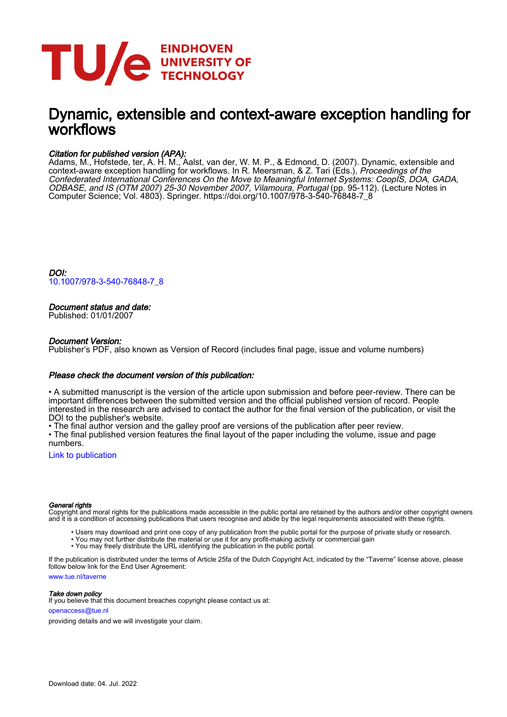

# Dynamic, extensible and context-aware exception handling for workflows

# Citation for published version (APA):

Adams, M., Hofstede, ter, A. H. M., Aalst, van der, W. M. P., & Edmond, D. (2007). Dynamic, extensible and context-aware exception handling for workflows. In R. Meersman, & Z. Tari (Eds.), *Proceedings of the* Confederated International Conferences On the Move to Meaningful Internet Systems: CoopIS, DOA, GADA, ODBASE, and IS (OTM 2007) 25-30 November 2007, Vilamoura, Portugal (pp. 95-112). (Lecture Notes in Computer Science; Vol. 4803). Springer. [https://doi.org/10.1007/978-3-540-76848-7\\_8](https://doi.org/10.1007/978-3-540-76848-7_8)

DOI: [10.1007/978-3-540-76848-7\\_8](https://doi.org/10.1007/978-3-540-76848-7_8)

### Document status and date:

Published: 01/01/2007

#### Document Version:

Publisher's PDF, also known as Version of Record (includes final page, issue and volume numbers)

#### Please check the document version of this publication:

• A submitted manuscript is the version of the article upon submission and before peer-review. There can be important differences between the submitted version and the official published version of record. People interested in the research are advised to contact the author for the final version of the publication, or visit the DOI to the publisher's website.

• The final author version and the galley proof are versions of the publication after peer review.

• The final published version features the final layout of the paper including the volume, issue and page numbers.

[Link to publication](https://research.tue.nl/en/publications/2026ff2d-63ed-4cb5-982a-c6125e20c83e)

#### General rights

Copyright and moral rights for the publications made accessible in the public portal are retained by the authors and/or other copyright owners and it is a condition of accessing publications that users recognise and abide by the legal requirements associated with these rights.

- Users may download and print one copy of any publication from the public portal for the purpose of private study or research.
- You may not further distribute the material or use it for any profit-making activity or commercial gain
- You may freely distribute the URL identifying the publication in the public portal.

If the publication is distributed under the terms of Article 25fa of the Dutch Copyright Act, indicated by the "Taverne" license above, please follow below link for the End User Agreement:

www.tue.nl/taverne

**Take down policy**<br>If you believe that this document breaches copyright please contact us at:

openaccess@tue.nl

providing details and we will investigate your claim.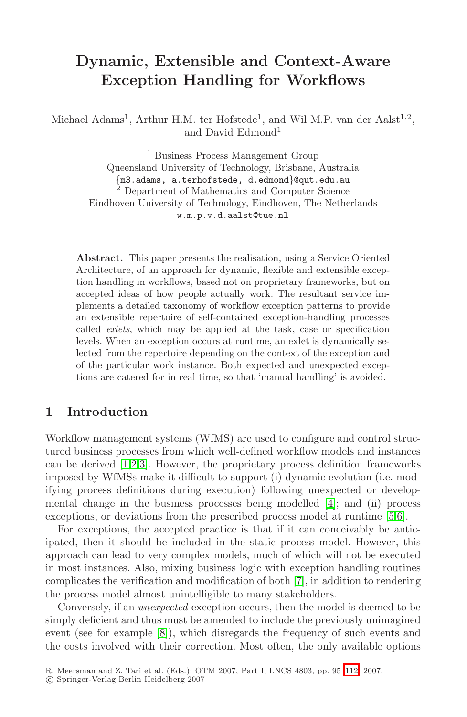# **Dynamic, Extensible and Context-Aware Exception Handling for Workflows**

Michael Adams<sup>1</sup>, Arthur H.M. ter Hofstede<sup>1</sup>, and Wil M.P. van der Aalst<sup>1,2</sup>, and David Edmond<sup>1</sup>

> <sup>1</sup> Business Process Management Group Queensland University of Technology, Brisbane, Australia {m3.adams, a.terhofstede, d.edmond}@qut.edu.au <sup>2</sup> Department of Mathematics and Computer Science Eindhoven University of Technology, Eindhoven, The Netherlands w.m.p.v.d.aalst@tue.nl

**Abstract.** This paper presents the realisation, using a Service Oriented Architecture, of an approach for dynamic, flexible and extensible exception handling in workflows, based not on proprietary frameworks, but on accepted ideas of how people actually work. The resultant service implements a detailed taxonomy of workflow exception patterns to provide an extensible repertoire of self-contained exception-handling processes called exlets, which may be applied at the task, case or specification levels. When an exception occurs at runtime, an exlet is dynamically selected from the repertoire depending on the context of the exception and of the particular work instance. Both expected and unexpected exceptions are catered for in real time, so that 'manual handling' is avoided.

# **1 Introduction**

Workflow management systems (WfMS) are used to configure and control structured business processes from which well-defined workflow models and instances can be derived [1,2,3]. However, the proprietary process definition frameworks imposed by WfMSs make it diffic[ult](#page-16-0) to support (i) dynamic evolution (i.e. modifying process definitions during execution) following unexpected or developmental change in the business processes being modelled [4]; and (ii) process exceptions, or deviations from the prescribed process model at runtime [5,6].

F[or](#page-16-1) exceptions, the accepted practice is that if it can conceivably be anticipated, then it should be included in the static process model. However, this approach can lead to very complex models, much of which will not be executed in most instances. Also, mixing business log[ic w](#page-18-0)ith exception handling routines complicates the verification and modification of both [7], in addition to rendering the process model almost unintelligible to many stakeholders.

Conversely, if an unexpected exception occurs, then the model is deemed to be simply deficient and thus must be amended to include the previously unimagined event (see for example [8]), which disregards the frequency of such events and the costs involved with their correction. Most often, the only available options

R. Meersman and Z. Tari et al. (Eds.): OTM 2007, Part I, LNCS 4803, pp. 95–112, 2007.

<sup>-</sup>c Springer-Verlag Berlin Heidelberg 2007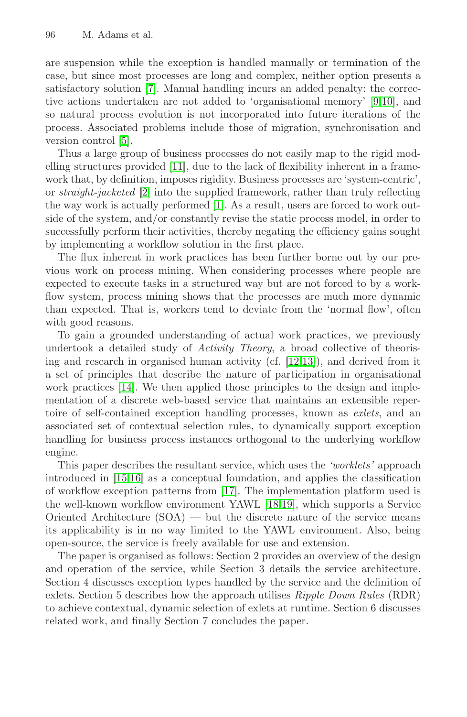are sus[pen](#page-16-2)sion while the exception is handled manually or termination of the case, but since most processes are long and complex, neither option presents a s[at](#page-16-3)isfactory solution [7]. Manual handling incurs an added penalty: the corrective actions und[ert](#page-16-4)aken are not added to 'organisational memory' [9,10], and so natural process evolution is not incorporated into future iterations of the process. Associated problems include those of migration, synchronisation and version control [5].

Thus a large group of business processes do not easily map to the rigid modelling structures provided [11], due to the lack of flexibility inherent in a framework that, by definition, imposes rigidity. Business processes are 'system-centric', or straight-jacketed [2] into the supplied framework, rather than truly reflecting the way work is actually performed [1]. As a result, users are forced to work outside of the system, and/or constantly revise the static process model, in order to successfully perform their activities, thereby negating the efficiency gains sought by implementing a workflow solution in the first place.

The flux inherent in work pr[act](#page-16-5)[ices](#page-16-6) has been further borne out by our previous work on process mining. When considering processes where people are expected to execute tasks in a structured way but are not forced to by a workflow system, process mining shows that the processes are much more dynamic than expected. That is, workers tend to deviate from the 'normal flow', often with good reasons.

To gain a grounded understanding of actual work practices, we previously undertook a detailed study of Activity Theory, a broad collective of theorising and research in organised human activity (cf. [12,13]), and derived from it [a](#page-17-0) set of principles that describe the nature of participation in organisational work practices [14[\]. W](#page-17-1)e then applied those principles to the design and implementation of a discrete we[b-b](#page-17-2)[ase](#page-17-3)d service that maintains an extensible repertoire of self-contained exception handling processes, known as exlets, and an associated set of contextual selection rules, to dynamically support exception handling for business process instances orthogonal to the underlying workflow engine.

This paper describes the resultant service, which uses the 'worklets' approach introduced in [15,16] as a conceptual foundation, and applies the classification of workflow exception patterns from [17]. The implementation platform used is the well-known workflow environment YAWL [18,19], which supports a Service Oriented Architecture  $(SOA)$  — but the discrete nature of the service means its applicability is in no way limited to the YAWL environment. Also, being open-source, the service is freely available for use and extension.

The paper is organised as follows: Section 2 provides an overview of the design and operation of the service, while Section 3 details the service architecture. Section 4 discusses exception types handled by the service and the definition of exlets. Section 5 describes how the approach utilises Ripple Down Rules (RDR) to achieve contextual, dynamic selection of exlets at runtime. Section 6 discusses related work, and finally Section 7 concludes the paper.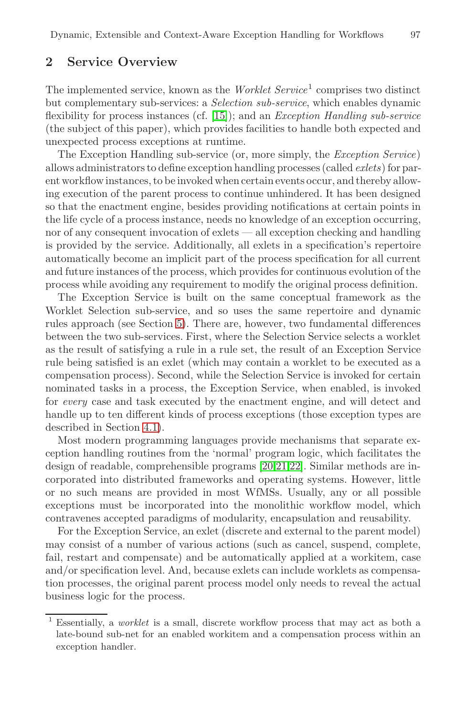# **2 Service Overview**

The implemented service, known as the  $Worklet Service<sup>1</sup>$  comprises two distinct but complementary sub-services: a Selection sub-service, which enables dynamic flexibility for process instances (cf.  $[15]$ ); and an *Exception Handling sub-service* (the subject of this paper), which provides facilities to handle both expected and unexpected process exceptions at runtime.

The Exception Handling sub-service (or, more simply, the Exception Service) allows administrators to define exception handling processes (called *exlets*) for parent workflow instances, to be invoked when certain events occur, and thereby allowing execution of the parent process to continue unhindered. It has been designed so that the enactment engine, besides providing notifications at certain points in the life c[yc](#page-9-0)le of a process instance, needs no knowledge of an exception occurring, nor of any consequent invocation of exlets — all exception checking and handling is provided by the service. Additionally, all exlets in a specification's repertoire automatically become an implicit part of the process specification for all current and future instances of the process, which provides for continuous evolution of the process while avoiding any requirement to modify the original process definition.

The Exception Service is built on the same conceptual framework as the Worklet Selection sub-service, and so uses the same repertoire and dynamic r[ules](#page-7-0) approach (see Section 5). There are, however, two fundamental differences between the two sub-services. First, where the Selection Service selects a worklet as the result of satisfying a rule in a rule set, the result of an Exception Service rule being satisfied is an e[xlet](#page-17-4) [\(w](#page-17-5)[hic](#page-17-6)h may contain a worklet to be executed as a compensation process). Second, while the Selection Service is invoked for certain nominated tasks in a process, the Exception Service, when enabled, is invoked for every case and task executed by the enactment engine, and will detect and handle up to ten different kinds of process exceptions (those exception types are described in Section 4.1).

Most modern programming languages provide mechanisms that separate exception handling routines from the 'normal' program logic, which facilitates the design of readable, comprehensible programs [20,21,22]. Similar methods are incorporated into distributed frameworks and operating systems. However, little or no such means are provided in most WfMSs. Usually, any or all possible exceptions must be incorporated into the monolithic workflow model, which contravenes accepted paradigms of modularity, encapsulation and reusability.

For the Exception Service, an exlet (discrete and external to the parent model) may consist of a number of various actions (such as cancel, suspend, complete, fail, restart and compensate) and be automatically applied at a workitem, case and/or specification level. And, because exlets can include worklets as compensation processes, the original parent process model only needs to reveal the actual business logic for the process.

 $1$  Essentially, a *worklet* is a small, discrete workflow process that may act as both a late-bound sub-net for an enabled workitem and a compensation process within an exception handler.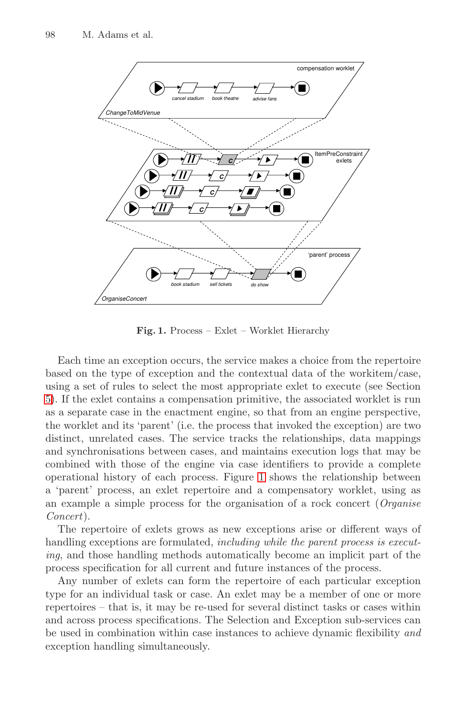

**Fig. 1.** Process – Exlet – Worklet Hierarchy

<span id="page-4-0"></span>Each time an exception occurs, the service makes a choice from the repertoire based on the type of exc[ept](#page-4-0)ion and the contextual data of the workitem/case, using a set of rules to select the most appropriate exlet to execute (see Section 5). If the exlet contains a compensation primitive, the associated worklet is run as a separate case in the enactment engine, so that from an engine perspective, the worklet and its 'parent' (i.e. the process that invoked the exception) are two distinct, unrelated cases. The service tracks the relationships, data mappings and synchronisations between cases, and maintains execution logs that may be combined with those of the engine via case identifiers to provide a complete operational history of each process. Figure 1 shows the relationship between a 'parent' process, an exlet repertoire and a compensatory worklet, using as an example a simple process for the organisation of a rock concert (Organise Concert).

The repertoire of exlets grows as new exceptions arise or different ways of handling exceptions are formulated, including while the parent process is executing, and those handling methods automatically become an implicit part of the process specification for all current and future instances of the process.

Any number of exlets can form the repertoire of each particular exception type for an individual task or case. An exlet may be a member of one or more repertoires – that is, it may be re-used for several distinct tasks or cases within and across process specifications. The Selection and Exception sub-services can be used in combination within case instances to achieve dynamic flexibility and exception handling simultaneously.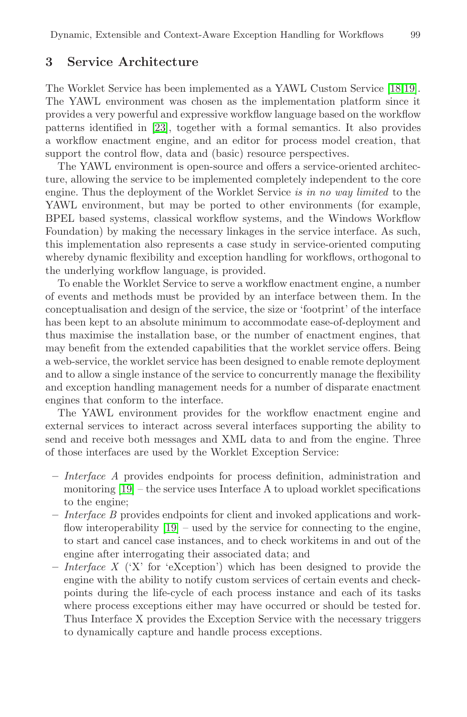# **3 Service Architecture**

The Worklet Service has been implemented as a YAWL Custom Service [18,19]. The YAWL environment was chosen as the implementation platform since it provides a very powerful and expressive workflow language based on the workflow patterns identified in [23], together with a formal semantics. It also provides a workflow enactment engine, and an editor for process model creation, that support the control flow, data and (basic) resource perspectives.

The YAWL environment is open-source and offers a service-oriented architecture, allowing the service to be implemented completely independent to the core engine. Thus the deployment of the Worklet Service is in no way limited to the YAWL environment, but may be ported to other environments (for example, BPEL based systems, classical workflow systems, and the Windows Workflow Foundation) by making the necessary linkages in the service interface. As such, this implementation also represents a case study in service-oriented computing whereby dynamic flexibility and exception handling for workflows, orthogonal to the underlying workflow language, is provided.

To enable the Worklet Service to serve a workflow enactment engine, a number of events and methods must be provided by an interface between them. In the conceptualisation and design of the service, the size or 'footprint' of the interface has been kept to an absolute minimum to accommodate ease-of-deployment and thus maximise the installation base, or the number of enactment engines, that may benefit from the extended capabilities that the worklet service offers. Being a web-service, the worklet service has been designed to enable remote deployment and to allow a single instance of the service to concurrently manage the flexibility and exception handling management needs for a number of disparate enactment engines that conform to the interface.

The YAWL environment provides for the workflow enactment engine and extern[al s](#page-17-3)ervices to interact across several interfaces supporting the ability to send and receive both messages and XML data to and from the engine. Three of those interfaces are used by the Worklet Exception Service:

- **–** Interface A provides endpoints for process definition, administration and monitoring  $[19]$  – the service uses Interface A to upload worklet specifications to the engine;
- **–** Interface B provides endpoints for client and invoked applications and workflow interoperability  $[19]$  – used by the service for connecting to the engine, to start and cancel case instances, and to check workitems in and out of the engine after interrogating their associated data; and
- **–** Interface X ('X' for 'eXception') which has been designed to provide the engine with the ability to notify custom services of certain events and checkpoints during the life-cycle of each process instance and each of its tasks where process exceptions either may have occurred or should be tested for. Thus Interface X provides the Exception Service with the necessary triggers to dynamically capture and handle process exceptions.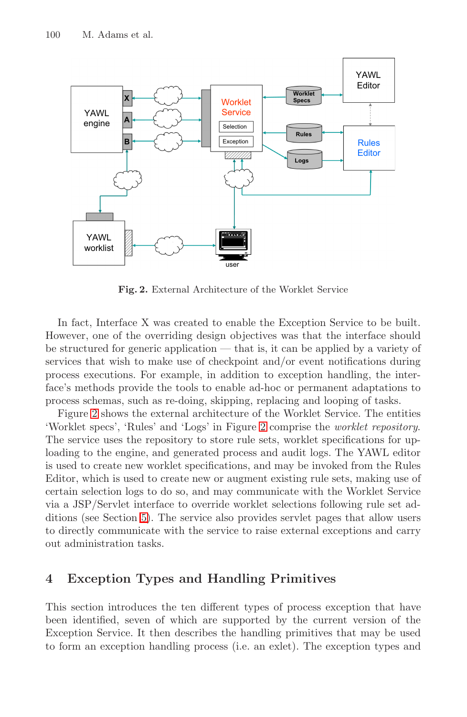

**Fig. 2.** External Architecture of the Worklet Service

<span id="page-6-0"></span>In fact, Interface X wa[s c](#page-6-0)reated to enable the Exception Service to be built. However, one of the overriding design objectives was that the interface should be structured for generic application — that is, it can be applied by a variety of services that wish to make use of checkpoint and/or event notifications during process executions. For example, in addition to exception handling, the interface's methods provide the tools to enable ad-hoc or permanent adaptations to process schemas, such as re-doing, skipping, replacing and looping of tasks.

Figure 2 shows the external architecture of the Worklet Service. The entities '[W](#page-9-0)orklet specs', 'Rules' and 'Logs' in Figure 2 comprise the worklet repository. The service uses the repository to store rule sets, worklet specifications for uploading to the engine, and generated process and audit logs. The YAWL editor is used to create new worklet specifications, and may be invoked from the Rules Editor, which is used to create new or augment existing rule sets, making use of certain selection logs to do so, and may communicate with the Worklet Service via a JSP/Servlet interface to override worklet selections following rule set additions (see Section 5). The service also provides servlet pages that allow users to directly communicate with the service to raise external exceptions and carry out administration tasks.

# **4 Exception Types and Handling Primitives**

This section introduces the ten different types of process exception that have been identified, seven of which are supported by the current version of the Exception Service. It then describes the handling primitives that may be used to form an exception handling process (i.e. an exlet). The exception types and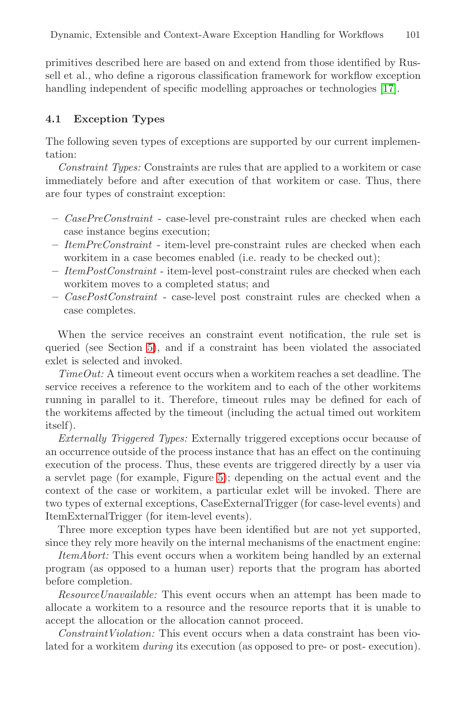<span id="page-7-0"></span>primitives described here are based on and extend from those identified by Russell et al., who define a rigorous classification framework for workflow exception handling independent of specific modelling approaches or technologies [17].

#### **4.1 Exception Types**

The following seven types of exceptions are supported by our current implementation:

Constraint Types: Constraints are rules that are applied to a workitem or case immediately before and after execution of that workitem or case. Thus, there are four types of constraint exception:

- **–** CasePreConstraint case-level pre-constraint rules are checked when each case instance begins execution;
- **[–](#page-9-0)** ItemPreConstraint item-level pre-constraint rules are checked when each workitem in a case becomes enabled (i.e. ready to be checked out);
- **–** ItemPostConstraint item-level post-constraint rules are checked when each workitem moves to a completed status; and
- **–** CasePostConstraint case-level post constraint rules are checked when a case completes.

When the service receives an constraint event notification, the rule set is queried (see Section 5), and if a constraint has been violated the associated exlet is selected and invoked.

TimeOut: A ti[me](#page-12-0)out event occurs when a workitem reaches a set deadline. The service receives a reference to the workitem and to each of the other workitems running in parallel to it. Therefore, timeout rules may be defined for each of the workitems affected by the timeout (including the actual timed out workitem itself).

Externally Triggered Types: Externally triggered exceptions occur because of an occurrence outside of the process instance that has an effect on the continuing execution of the process. Thus, these events are triggered directly by a user via a servlet page (for example, Figure 5); depending on the actual event and the context of the case or workitem, a particular exlet will be invoked. There are two types of external exceptions, CaseExternalTrigger (for case-level events) and ItemExternalTrigger (for item-level events).

Three more exception types have been identified but are not yet supported, since they rely more heavily on the internal mechanisms of the enactment engine:

ItemAbort: This event occurs when a workitem being handled by an external program (as opposed to a human user) reports that the program has aborted before completion.

ResourceUnavailable: This event occurs when an attempt has been made to allocate a workitem to a resource and the resource reports that it is unable to accept the allocation or the allocation cannot proceed.

Constraint Violation: This event occurs when a data constraint has been violated for a workitem during its execution (as opposed to pre- or post- execution).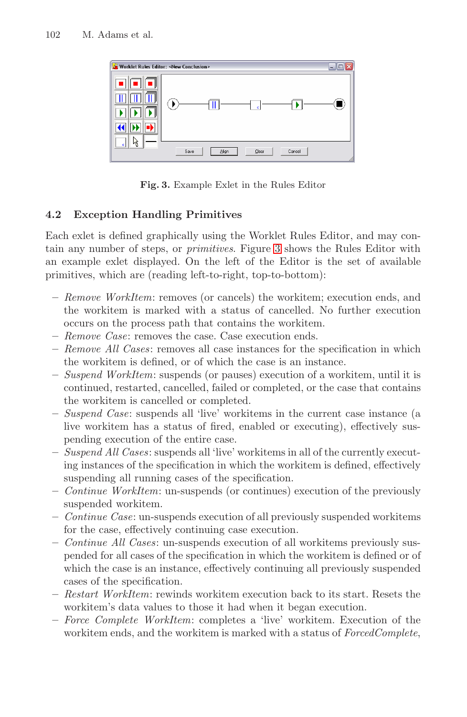<span id="page-8-0"></span>

| Worklet Rules Editor: < New Conclusion> |                                     | e. |
|-----------------------------------------|-------------------------------------|----|
|                                         | c                                   |    |
| M<br>c                                  | Save<br>Cancel<br>Align<br>$Q$ lear | B  |

**Fig. 3.** Example Exlet in the Rules Editor

#### **4.2 Exception Handling Primitives**

Each exlet is defined graphically using the Worklet Rules Editor, and may contain any number of steps, or primitives. Figure 3 shows the Rules Editor with an example exlet displayed. On the left of the Editor is the set of available primitives, which are (reading left-to-right, top-to-bottom):

- **–** Remove WorkItem: removes (or cancels) the workitem; execution ends, and the workitem is marked with a status of cancelled. No further execution occurs on the process path that contains the workitem.
- **–** Remove Case: removes the case. Case execution ends.
- **–** Remove All Cases: removes all case instances for the specification in which the workitem is defined, or of which the case is an instance.
- **–** Suspend WorkItem: suspends (or pauses) execution of a workitem, until it is continued, restarted, cancelled, failed or completed, or the case that contains the workitem is cancelled or completed.
- **–** Suspend Case: suspends all 'live' workitems in the current case instance (a live workitem has a status of fired, enabled or executing), effectively suspending execution of the entire case.
- **–** Suspend All Cases: suspends all 'live' workitems in all of the currently executing instances of the specification in which the workitem is defined, effectively suspending all running cases of the specification.
- **–** Continue WorkItem: un-suspends (or continues) execution of the previously suspended workitem.
- **–** Continue Case: un-suspends execution of all previously suspended workitems for the case, effectively continuing case execution.
- **–** Continue All Cases: un-suspends execution of all workitems previously suspended for all cases of the specification in which the workitem is defined or of which the case is an instance, effectively continuing all previously suspended cases of the specification.
- **–** Restart WorkItem: rewinds workitem execution back to its start. Resets the workitem's data values to those it had when it began execution.
- **–** Force Complete WorkItem: completes a 'live' workitem. Execution of the workitem ends, and the workitem is marked with a status of ForcedComplete,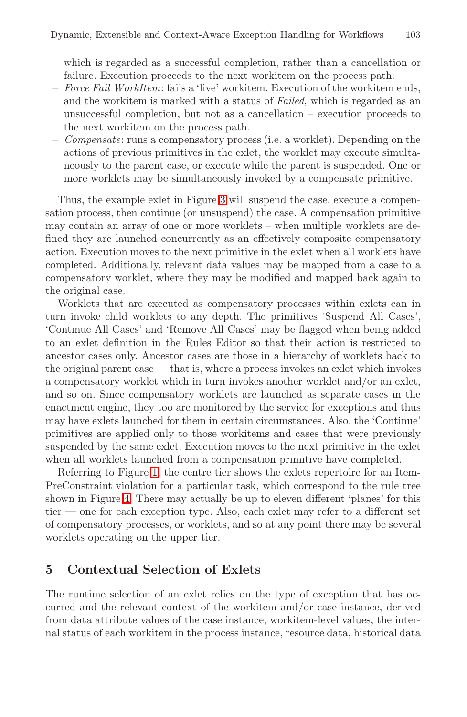which is regarded as a successful completion, rather than a cancellation or failure. Execution proceeds to the next workitem on the process path.

- **–** Force Fail WorkItem: fails a 'live' workitem. Execution of the workitem ends, and the worki[te](#page-8-0)m is marked with a status of Failed, which is regarded as an unsuccessful completion, but not as a cancellation – execution proceeds to the next workitem on the process path.
- **–** Compensate: runs a compensatory process (i.e. a worklet). Depending on the actions of previous primitives in the exlet, the worklet may execute simultaneously to the parent case, or execute while the parent is suspended. One or more worklets may be simultaneously invoked by a compensate primitive.

Thus, the example exlet in Figure 3 will suspend the case, execute a compensation process, then continue (or unsuspend) the case. A compensation primitive may contain an array of one or more worklets – when multiple worklets are defined they are launched concurrently as an effectively composite compensatory action. Execution moves to the next primitive in the exlet when all worklets have completed. Additionally, relevant data values may be mapped from a case to a compensatory worklet, where they may be modified and mapped back again to the original case.

Worklets that are executed as compensatory processes within exlets can in turn invoke child worklets to any depth. The primitives 'Suspend All Cases', 'Continue All Cases' and 'Remove All Cases' may be flagged when being added to an exlet definition in the Rules Editor so that their action is restricted to ancestor cases only. Ancestor cases are those in a hierarchy of worklets back to the [or](#page-4-0)iginal parent case — that is, where a process invokes an exlet which invokes a compensatory worklet which in turn invokes another worklet and/or an exlet, and so on. Since compensatory worklets are launched as separate cases in the enactment engine, they too are monitored by the service for exceptions and thus may have exlets launched for them in certain circumstances. Also, the 'Continue' primitives are applied only to those workitems and cases that were previously suspended by the same exlet. Execution moves to the next primitive in the exlet when all worklets launched from a compensation primitive have completed.

<span id="page-9-0"></span>Referring to Figure 1, the centre tier shows the exlets repertoire for an Item-PreConstraint violation for a particular task, which correspond to the rule tree shown in Figure 4. There may actually be up to eleven different 'planes' for this tier — one for each exception type. Also, each exlet may refer to a different set of compensatory processes, or worklets, and so at any point there may be several worklets operating on the upper tier.

# **5 Contextual Selection of Exlets**

The runtime selection of an exlet relies on the type of exception that has occurred and the relevant context of the workitem and/or case instance, derived from data attribute values of the case instance, workitem-level values, the internal status of each workitem in the process instance, resource data, historical data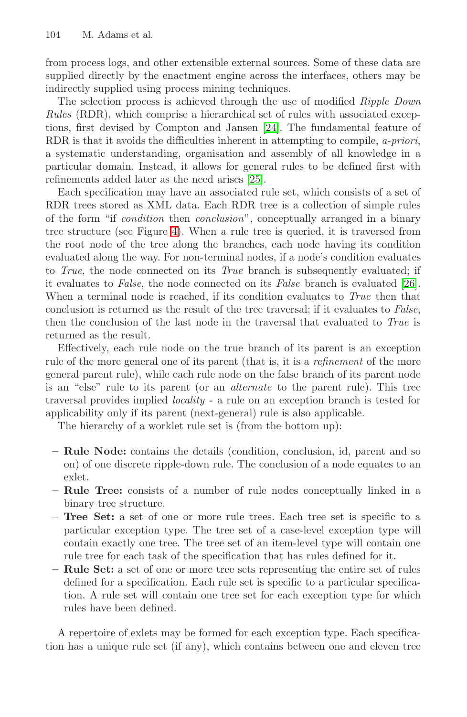from process logs, and other extensible external sources. Some of these data are supplied directly by the [en](#page-17-8)actment engine across the interfaces, others may be indirectly supplied using process mining techniques.

The selection process is achieved through the use of modified Ripple Down Rules (RDR), which comprise a hierarchical set of rules with associated exceptions, [firs](#page-11-0)t devised by Compton and Jansen [24]. The fundamental feature of RDR is that it avoids the difficulties inherent in attempting to compile, *a-priori*, a systematic understanding, organisation and assembly of all knowledge in a particular domain. Instead, it allows for general rules to be defined first with refinements added later as the need arises [25].

Each specification may have an associated rule set, w[hich](#page-17-9) consists of a set of RDR trees stored as XML data. Each RDR tree is a collection of simple rules of the form "if condition then conclusion", conceptually arranged in a binary tree structure (see Figure 4). When a rule tree is queried, it is traversed from the root node of the tree along the branches, each node having its condition evaluated along the way. For non-terminal nodes, if a node's condition evaluates to True, the node connected on its True branch is subsequently evaluated; if it evaluates to False, the node connected on its False branch is evaluated [26]. When a terminal node is reached, if its condition evaluates to True then that conclusion is returned as the result of the tree traversal; if it evaluates to False, then the conclusion of the last node in the traversal that evaluated to True is returned as the result.

Effectively, each rule node on the true branch of its parent is an exception rule of the more general one of its parent (that is, it is a refinement of the more general parent rule), while each rule node on the false branch of its parent node is an "else" rule to its parent (or an alternate to the parent rule). This tree traversal provides implied locality - a rule on an exception branch is tested for applicability only if its parent (next-general) rule is also applicable.

The hierarchy of a worklet rule set is (from the bottom up):

- **Rule Node:** contains the details (condition, conclusion, id, parent and so on) of one discrete ripple-down rule. The conclusion of a node equates to an exlet.
- **Rule Tree:** consists of a number of rule nodes conceptually linked in a binary tree structure.
- **Tree Set:** a set of one or more rule trees. Each tree set is specific to a particular exception type. The tree set of a case-level exception type will contain exactly one tree. The tree set of an item-level type will contain one rule tree for each task of the specification that has rules defined for it.
- **Rule Set:** a set of one or more tree sets representing the entire set of rules defined for a specification. Each rule set is specific to a particular specification. A rule set will contain one tree set for each exception type for which rules have been defined.

A repertoire of exlets may be formed for each exception type. Each specification has a unique rule set (if any), which contains between one and eleven tree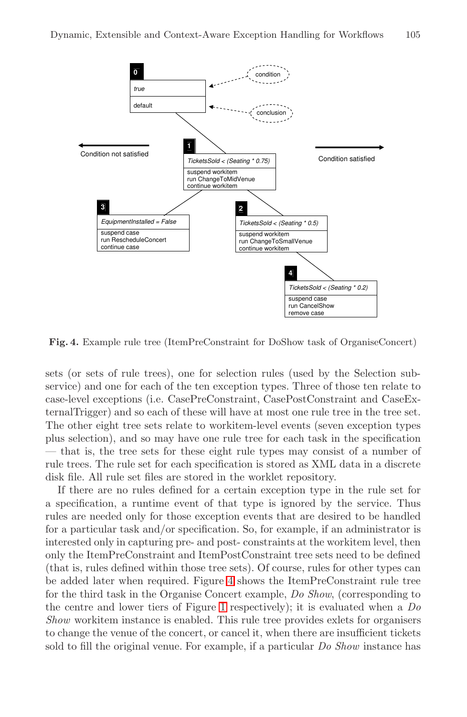

Dynamic, Extensible and Context-Aware Exception Handling for Workflows 105

<span id="page-11-0"></span>**Fig. 4.** Example rule tree (ItemPreConstraint for DoShow task of OrganiseConcert)

sets (or sets of rule trees), one for selection rules (used by the Selection subservice) and one for each of the ten exception types. Three of those ten relate to case-level exceptions (i.e. CasePreConstraint, CasePostConstraint and CaseExternalTrigger) and so each of these will have at most one rule tree in the tree set. The other eight tree sets relate to workitem-level events (seven exception types plus selection), and so may have one rule tree for each task in the specification — that is, the tree sets for these eight rule types may consist of a number of rule trees. The rule set for each specification is stored as XML data in a discrete disk file. All rule se[t fi](#page-11-0)les are stored in the worklet repository.

If there are no rules defined for a certain exception type in the rule set for a specification, a [ru](#page-4-0)ntime event of that type is ignored by the service. Thus rules are needed only for those exception events that are desired to be handled for a particular task and/or specification. So, for example, if an administrator is interested only in capturing pre- and post- constraints at the workitem level, then only the ItemPreConstraint and ItemPostConstraint tree sets need to be defined (that is, rules defined within those tree sets). Of course, rules for other types can be added later when required. Figure 4 shows the ItemPreConstraint rule tree for the third task in the Organise Concert example, Do Show, (corresponding to the centre and lower tiers of Figure 1 respectively); it is evaluated when a Do Show workitem instance is enabled. This rule tree provides exlets for organisers to change the venue of the concert, or cancel it, when there are insufficient tickets sold to fill the original venue. For example, if a particular Do Show instance has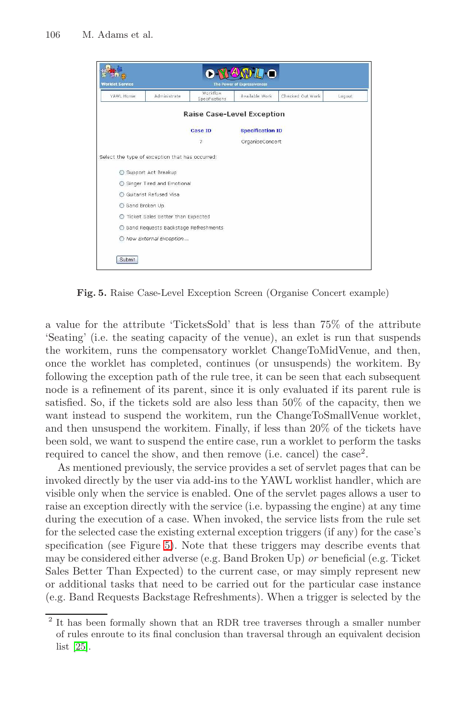

**Fig. 5.** Raise Case-Level Exception Screen (Organise Concert example)

<span id="page-12-0"></span>a value for the attribute 'TicketsSold' that is less than 75% of the attribute 'Seating' (i.e. the seating capacity of the venue), an exlet is run that suspends the workitem, runs the compensatory worklet ChangeToMidVenue, and then, once the worklet has completed, continues (or unsuspends) the workitem. By following the exception path of the rule tree, it can be seen that each subsequent node is a refinement of its parent, since it is only evaluated if its parent rule is satisfied. So, if the tickets sold are also less than 50% of the capacity, then we want instead to suspend the workitem, run the ChangeToSmallVenue worklet, and then unsuspend the workitem. Finally, if less than 20% of the tickets have been [sol](#page-12-0)d, we want to suspend the entire case, run a worklet to perform the tasks required to cancel the show, and then remove (i.e. cancel) the case<sup>2</sup>.

As mentioned previously, the service provides a set of servlet pages that can be invoked directly by the user via add-ins to the YAWL worklist handler, which are visible only when the service is enabled. One of the servlet pages allows a user to raise an exception directly with the service (i.e. bypassing the engine) at any time during the execution of a case. When invoked, the service lists from the rule set for the selected case the existing external exception triggers (if any) for the case's specification (see Figure 5). Note that these triggers may describe events that may be considered either adverse (e.g. Band Broken Up) or beneficial (e.g. Ticket Sales Better Than Expected) to the current case, or may simply represent new or additional tasks that need to be carried out for the particular case instance (e.g. Band Requests Backstage Refreshments). When a trigger is selected by the

 $^{2}$  It has been formally shown that an RDR tree traverses through a smaller number of rules enroute to its final conclusion than traversal through an equivalent decision list [25].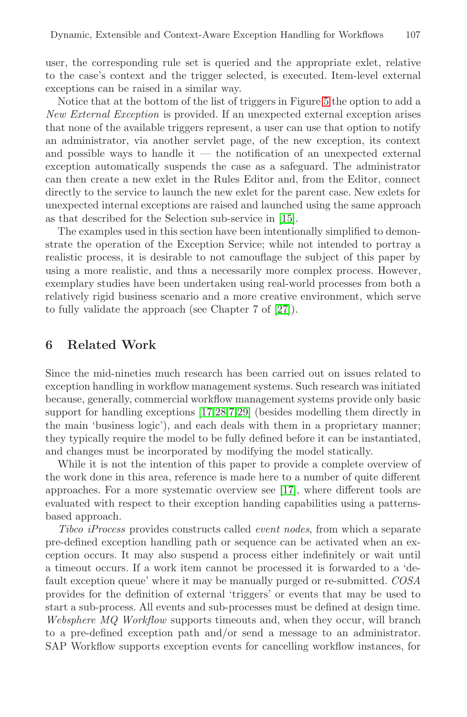user, the corresponding rule set is queried and the appropriate exlet, relative to the case's context and the trigger selected, is executed. Item-level external exceptions can be raised in a similar way.

Notice that at the bottom of the list of triggers in Figure 5 the option to add a New External Exception is pro[vid](#page-17-10)ed. If an unexpected external exception arises that none of the available triggers represent, a user can use that option to notify an administrator, via another servlet page, of the new exception, its context and possible ways to handle it — the notification of an unexpected external exception automatically suspends the case as a safeguard. The administrator can then create a new exlet in the Rules Editor and, from the Editor, connect directly to the service to launch the new exlet for the parent case. New exlets for unexpected internal exception[s ar](#page-17-11)e raised and launched using the same approach as that described for the Selection sub-service in [15].

The examples used in this section have been intentionally simplified to demonstrate the operation of the Exception Service; while not intended to portray a realistic process, it is desirable to not camouflage the subject of this paper by using a more realistic, and thus a necessarily more complex process. However, exemplary studies have been undertaken using real-world processes from both a relatively rigid business scenario and a more creative environment, which serve to fully valid[ate](#page-17-1) [the](#page-17-12) [a](#page-16-0)[ppr](#page-17-13)oach (see Chapter 7 of [27]).

### **6 Related Work**

Since the mid-nineties much research has been carried out on issues related to exception handling in workflow [ma](#page-17-1)nagement systems. Such research was initiated because, generally, commercial workflow management systems provide only basic support for handling exceptions [17,28,7,29] (besides modelling them directly in the main 'business logic'), and each deals with them in a proprietary manner; they typically require the model to be fully defined before it can be instantiated, and changes must be incorporated by modifying the model statically.

While it is not the intention of this paper to provide a complete overview of the work done in this area, reference is made here to a number of quite different approaches. For a more systematic overview see [17], where different tools are evaluated with respect to their exception handing capabilities using a patternsbased approach.

Tibco iProcess provides constructs called event nodes, from which a separate pre-defined exception handling path or sequence can be activated when an exception occurs. It may also suspend a process either indefinitely or wait until a timeout occurs. If a work item cannot be processed it is forwarded to a 'default exception queue' where it may be manually purged or re-submitted. COSA provides for the definition of external 'triggers' or events that may be used to start a sub-process. All events and sub-processes must be defined at design time. Websphere MO Workflow supports timeouts and, when they occur, will branch to a pre-defined exception path and/or send a message to an administrator. SAP Workflow supports exception events for cancelling workflow instances, for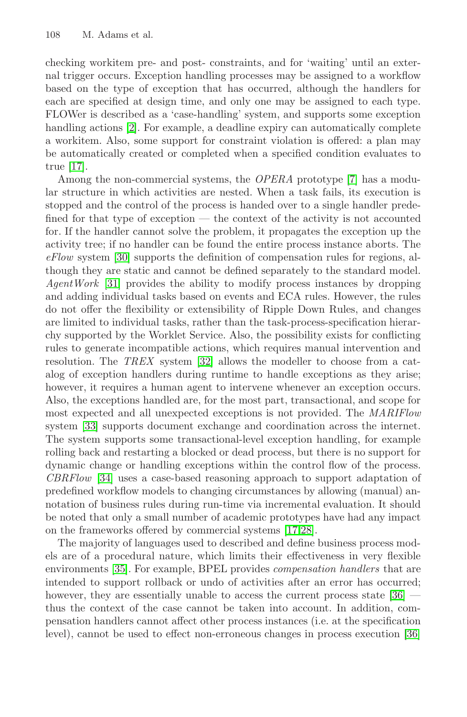checking workitem pre- and post- constraints, and for 'waiting' until an external trigger occurs. Exception handling proce[sse](#page-16-0)s may be assigned to a workflow based on the type of exception that has occurred, although the handlers for each are specified at design time, and only one may be assigned to each type. FLOWer is described as a 'case-handling' system, and supports some exception handling actions [2]. For example, a deadline expiry can automatically complete a workitem. Also, some support for constraint violation is offered: a plan may be automatically created or completed when a specified condition evaluates to true [17].

Among the non-commercial systems, the OPERA prototype [7] has a modular structure in which activities are nested. When a task fails, its execution is stopped and the control of the process is handed over to a single handler predefined for that type of exception — the context of the activity is not accounted for. If the handler cannot solve the problem, it propagates the exception up the activity tree; if no handler can be found the entire process instance aborts. The eFlow syste[m \[3](#page-18-1)0] supports the definition of compensation rules for regions, although they are static and cannot be defined separately to the standard model.  $AgentWork$  [31] provides the ability to modify process instances by dropping and adding individual tasks based on events and ECA rules. However, the rules do not offer the flexibility or extensibility of Ripple Down Rules, and changes are limited to individual tasks, rather than the task-process-specification hierarchy supported by the Worklet Service. Also, the possibility exists for conflicting rules to generate incompatible actions, which requires manual intervention and resolution. The TREX system [32] allows the modeller to choose from a catalog of exception handlers during runtime to handle exceptions as they arise; however, it requires a human agent to intervene whenever an exception occurs. Also, the exceptions handled are, for the most part, transactional, and scope for most expected and all unexpected exceptions is not provided. The MARIFlow system [33] supports document [ex](#page-17-1)[cha](#page-17-12)nge and coordination across the internet. The system supports some transactional-level exception handling, for example rolling back and restarting a blocked or dead process, but there is no support for dynamic change or handling exceptions within the control flow of the process. CBRFlow [34] uses a case-based reasoning approach to support adaptation of predefined workflow models to changing circumstances [by](#page-18-2) allowing (manual) annotation of business rules during run-time via incremental evaluation. It should be noted that only a small number of academic prototypes have had any impact on the frameworks offered by commercial systems [17,28][.](#page-18-2)

The majority of languages used to described and define business process models are of a procedural nature, which limits their effectiveness in very flexible environments [35]. For example, BPEL provides compensation handlers that are intended to support rollback or undo of activities after an error has occurred; however, they are essentially unable to access the current process state [36] thus the context of the case cannot be taken into account. In addition, compensation handlers cannot affect other process instances (i.e. at the specification level), cannot be used to effect non-erroneous changes in process execution [36]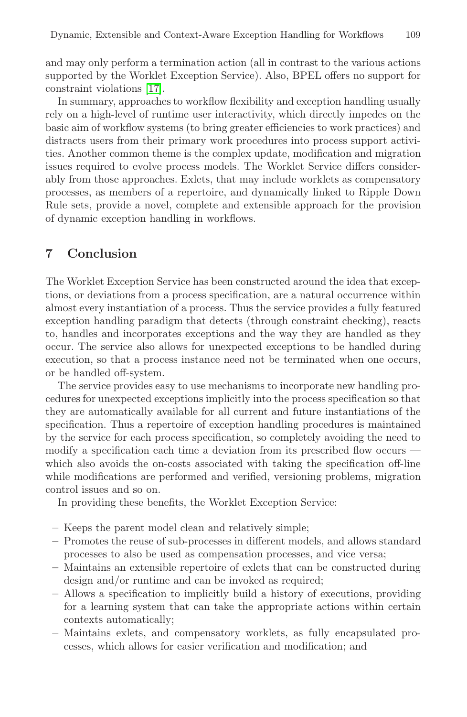and may only perform a termination action (all in contrast to the various actions supported by the Worklet Exception Service). Also, BPEL offers no support for constraint violations [17].

In summary, approaches to workflow flexibility and exception handling usually rely on a high-level of runtime user interactivity, which directly impedes on the basic aim of workflow systems (to bring greater efficiencies to work practices) and distracts users from their primary work procedures into process support activities. Another common theme is the complex update, modification and migration issues required to evolve process models. The Worklet Service differs considerably from those approaches. Exlets, that may include worklets as compensatory processes, as members of a repertoire, and dynamically linked to Ripple Down Rule sets, provide a novel, complete and extensible approach for the provision of dynamic exception handling in workflows.

# **7 Conclusion**

The Worklet Exception Service has been constructed around the idea that exceptions, or deviations from a process specification, are a natural occurrence within almost every instantiation of a process. Thus the service provides a fully featured exception handling paradigm that detects (through constraint checking), reacts to, handles and incorporates exceptions and the way they are handled as they occur. The service also allows for unexpected exceptions to be handled during execution, so that a process instance need not be terminated when one occurs, or be handled off-system.

The service provides easy to use mechanisms to incorporate new handling procedures for unexpected exceptions implicitly into the process specification so that they are automatically available for all current and future instantiations of the specification. Thus a repertoire of exception handling procedures is maintained by the service for each process specification, so completely avoiding the need to modify a specification each time a deviation from its prescribed flow occurs which also avoids the on-costs associated with taking the specification off-line while modifications are performed and verified, versioning problems, migration control issues and so on.

In providing these benefits, the Worklet Exception Service:

- **–** Keeps the parent model clean and relatively simple;
- **–** Promotes the reuse of sub-processes in different models, and allows standard processes to also be used as compensation processes, and vice versa;
- **–** Maintains an extensible repertoire of exlets that can be constructed during design and/or runtime and can be invoked as required;
- **–** Allows a specification to implicitly build a history of executions, providing for a learning system that can take the appropriate actions within certain contexts automatically;
- **–** Maintains exlets, and compensatory worklets, as fully encapsulated processes, which allows for easier verification and modification; and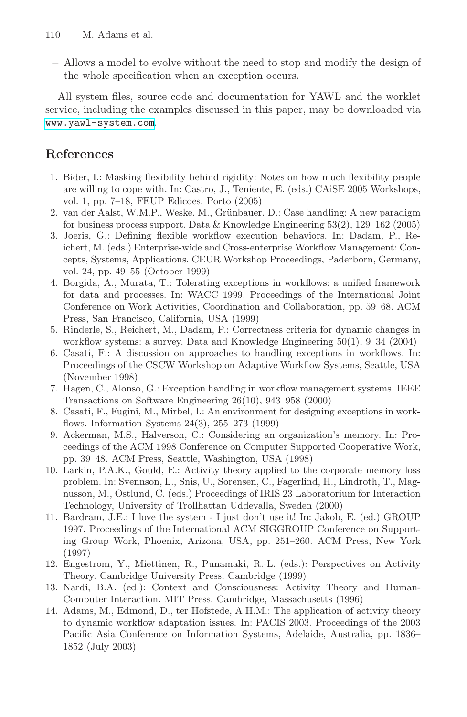- 110 M. Adams et al.
- **–** Allows a model to evolve without the need to stop and modify the design of the whole specification when an exception occurs.

<span id="page-16-4"></span><span id="page-16-3"></span>All system files, source code and documentation for YAWL and the worklet service, including the examples discussed in this paper, may be downloaded via www.yawl-system.com.

### **References**

- 1. Bider, I.: Masking flexibility behind rigidity: Notes on how much flexibility people are willing to cope with. In: Castro, J., Teniente, E. (eds.) CAiSE 2005 Workshops, vol. 1, pp. 7–18, FEUP Edicoes, Porto (2005)
- 2. van der Aalst, W.M.P., Weske, M., Grünbauer, D.: Case handling: A new paradigm for business process support. Data & Knowledge Engineering 53(2), 129–162 (2005)
- 3. Joeris, G.: Defining flexible workflow execution behaviors. In: Dadam, P., Reichert, M. (eds.) Enterprise-wide and Cross-enterprise Workflow Management: Concepts, Systems, Applications. CEUR Workshop Proceedings, Paderborn, Germany, vol. 24, pp. 49–55 (October 1999)
- <span id="page-16-1"></span><span id="page-16-0"></span>4. Borgida, A., Murata, T.: Tolerating exceptions in workflows: a unified framework for data and processes. In: WACC 1999. Proceedings of the International Joint Conference on Work Activities, Coordination and Collaboration, pp. 59–68. ACM Press, San Francisco, California, USA (1999)
- 5. Rinderle, S., Reichert, M., Dadam, P.: Correctness criteria for dynamic changes in workflow systems: a survey. Data and Knowledge Engineering 50(1), 9–34 (2004)
- 6. Casati, F.: A discussion on approaches to handling exceptions in workflows. In: Proceedings of the CSCW Workshop on Adaptive Workflow Systems, Seattle, USA (November 1998)
- 7. Hagen, C., Alonso, G.: Exception handling in workflow management systems. IEEE Transactions on Software Engineering 26(10), 943–958 (2000)
- <span id="page-16-2"></span>8. Casati, F., Fugini, M., Mirbel, I.: An environment for designing exceptions in workflows. Information Systems 24(3), 255–273 (1999)
- 9. Ackerman, M.S., Halverson, C.: Considering an organization's memory. In: Proceedings of the ACM 1998 Conference on Computer Supported Cooperative Work, pp. 39–48. ACM Press, Seattle, Washington, USA (1998)
- <span id="page-16-6"></span><span id="page-16-5"></span>10. Larkin, P.A.K., Gould, E.: Activity theory applied to the corporate memory loss problem. In: Svennson, L., Snis, U., Sorensen, C., Fagerlind, H., Lindroth, T., Magnusson, M., Ostlund, C. (eds.) Proceedings of IRIS 23 Laboratorium for Interaction Technology, University of Trollhattan Uddevalla, Sweden (2000)
- 11. Bardram, J.E.: I love the system I just don't use it! In: Jakob, E. (ed.) GROUP 1997. Proceedings of the International ACM SIGGROUP Conference on Supporting Group Work, Phoenix, Arizona, USA, pp. 251–260. ACM Press, New York (1997)
- 12. Engestrom, Y., Miettinen, R., Punamaki, R.-L. (eds.): Perspectives on Activity Theory. Cambridge University Press, Cambridge (1999)
- 13. Nardi, B.A. (ed.): Context and Consciousness: Activity Theory and Human-Computer Interaction. MIT Press, Cambridge, Massachusetts (1996)
- 14. Adams, M., Edmond, D., ter Hofstede, A.H.M.: The application of activity theory to dynamic workflow adaptation issues. In: PACIS 2003. Proceedings of the 2003 Pacific Asia Conference on Information Systems, Adelaide, Australia, pp. 1836– 1852 (July 2003)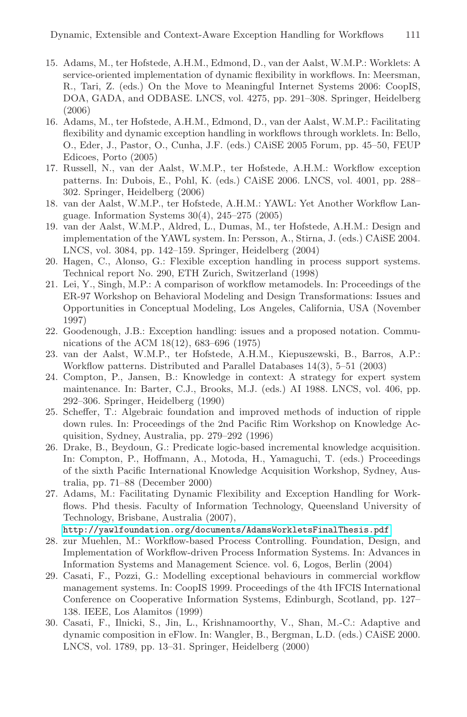- <span id="page-17-10"></span><span id="page-17-1"></span><span id="page-17-0"></span>15. Adams, M., ter Hofstede, A.H.M., Edmond, D., van der Aalst, W.M.P.: Worklets: A service-oriented implementation of dynamic flexibility in workflows. In: Meersman, R., Tari, Z. (eds.) On the Move to Meaningful Internet Systems 2006: CoopIS, DOA, GADA, and ODBASE. LNCS, vol. 4275, pp. 291–308. Springer, Heidelberg (2006)
- <span id="page-17-3"></span><span id="page-17-2"></span>16. Adams, M., ter Hofstede, A.H.M., Edmond, D., van der Aalst, W.M.P.: Facilitating flexibility and dynamic exception handling in workflows through worklets. In: Bello, O., Eder, J., Pastor, O., Cunha, J.F. (eds.) CAiSE 2005 Forum, pp. 45–50, FEUP Edicoes, Porto (2005)
- <span id="page-17-5"></span><span id="page-17-4"></span>17. Russell, N., van der Aalst, W.M.P., ter Hofstede, A.H.M.: Workflow exception patterns. In: Dubois, E., Pohl, K. (eds.) CAiSE 2006. LNCS, vol. 4001, pp. 288– 302. Springer, Heidelberg (2006)
- 18. van der Aalst, W.M.P., ter Hofstede, A.H.M.: YAWL: Yet Another Workflow Language. Information Systems 30(4), 245–275 (2005)
- <span id="page-17-6"></span>19. van der Aalst, W.M.P., Aldred, L., Dumas, M., ter Hofstede, A.H.M.: Design and implementation of the YAWL system. In: Persson, A., Stirna, J. (eds.) CAiSE 2004. LNCS, vol. 3084, pp. 142–159. Springer, Heidelberg (2004)
- <span id="page-17-7"></span>20. Hagen, C., Alonso, G.: Flexible exception handling in process support systems. Technical report No. 290, ETH Zurich, Switzerland (1998)
- <span id="page-17-8"></span>21. Lei, Y., Singh, M.P.: A comparison of workflow metamodels. In: Proceedings of the ER-97 Workshop on Behavioral Modeling and Design Transformations: Issues and Opportunities in Conceptual Modeling, Los Angeles, California, USA (November 1997)
- <span id="page-17-9"></span>22. Goodenough, J.B.: Exception handling: issues and a proposed notation. Communications of the ACM 18(12), 683–696 (1975)
- 23. van der Aalst, W.M.P., ter Hofstede, A.H.M., Kiepuszewski, B., Barros, A.P.: Workflow patterns. Distributed and Parallel Databases 14(3), 5–51 (2003)
- <span id="page-17-11"></span>24. Compton, P., Jansen, B.: Knowledge in context: A strategy for expert system maintenance. In: Barter, C.J., Brooks, M.J. (eds.) AI 1988. LNCS, vol. 406, pp. 292–306. Springer, Heidelberg (1990)
- 25. Scheffer, T.: Algebraic foundation and improved methods of induction of ripple [down rules. In: Proceedings of the 2nd Pacific Rim W](http://yawlfoundation.org/documents/AdamsWorkletsFinalThesis.pdf)orkshop on Knowledge Acquisition, Sydney, Australia, pp. 279–292 (1996)
- <span id="page-17-13"></span><span id="page-17-12"></span>26. Drake, B., Beydoun, G.: Predicate logic-based incremental knowledge acquisition. In: Compton, P., Hoffmann, A., Motoda, H., Yamaguchi, T. (eds.) Proceedings of the sixth Pacific International Knowledge Acquisition Workshop, Sydney, Australia, pp. 71–88 (December 2000)
- 27. Adams, M.: Facilitating Dynamic Flexibility and Exception Handling for Workflows. Phd thesis. Faculty of Information Technology, Queensland University of Technology, Brisbane, Australia (2007),
- http://yawlfoundation.org/documents/AdamsWorkletsFinalThesis.pdf
- 28. zur Muehlen, M.: Workflow-based Process Controlling. Foundation, Design, and Implementation of Workflow-driven Process Information Systems. In: Advances in Information Systems and Management Science. vol. 6, Logos, Berlin (2004)
- 29. Casati, F., Pozzi, G.: Modelling exceptional behaviours in commercial workflow management systems. In: CoopIS 1999. Proceedings of the 4th IFCIS International Conference on Cooperative Information Systems, Edinburgh, Scotland, pp. 127– 138. IEEE, Los Alamitos (1999)
- 30. Casati, F., Ilnicki, S., Jin, L., Krishnamoorthy, V., Shan, M.-C.: Adaptive and dynamic composition in eFlow. In: Wangler, B., Bergman, L.D. (eds.) CAiSE 2000. LNCS, vol. 1789, pp. 13–31. Springer, Heidelberg (2000)